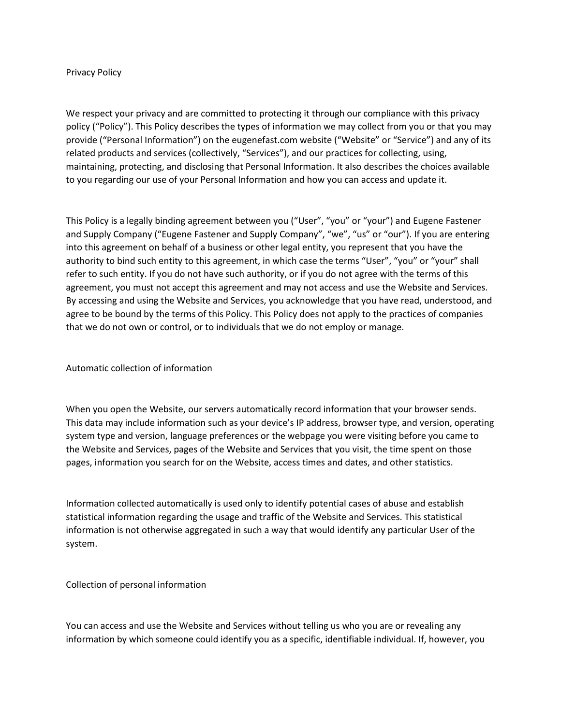#### Privacy Policy

We respect your privacy and are committed to protecting it through our compliance with this privacy policy ("Policy"). This Policy describes the types of information we may collect from you or that you may provide ("Personal Information") on the eugenefast.com website ("Website" or "Service") and any of its related products and services (collectively, "Services"), and our practices for collecting, using, maintaining, protecting, and disclosing that Personal Information. It also describes the choices available to you regarding our use of your Personal Information and how you can access and update it.

This Policy is a legally binding agreement between you ("User", "you" or "your") and Eugene Fastener and Supply Company ("Eugene Fastener and Supply Company", "we", "us" or "our"). If you are entering into this agreement on behalf of a business or other legal entity, you represent that you have the authority to bind such entity to this agreement, in which case the terms "User", "you" or "your" shall refer to such entity. If you do not have such authority, or if you do not agree with the terms of this agreement, you must not accept this agreement and may not access and use the Website and Services. By accessing and using the Website and Services, you acknowledge that you have read, understood, and agree to be bound by the terms of this Policy. This Policy does not apply to the practices of companies that we do not own or control, or to individuals that we do not employ or manage.

# Automatic collection of information

When you open the Website, our servers automatically record information that your browser sends. This data may include information such as your device's IP address, browser type, and version, operating system type and version, language preferences or the webpage you were visiting before you came to the Website and Services, pages of the Website and Services that you visit, the time spent on those pages, information you search for on the Website, access times and dates, and other statistics.

Information collected automatically is used only to identify potential cases of abuse and establish statistical information regarding the usage and traffic of the Website and Services. This statistical information is not otherwise aggregated in such a way that would identify any particular User of the system.

# Collection of personal information

You can access and use the Website and Services without telling us who you are or revealing any information by which someone could identify you as a specific, identifiable individual. If, however, you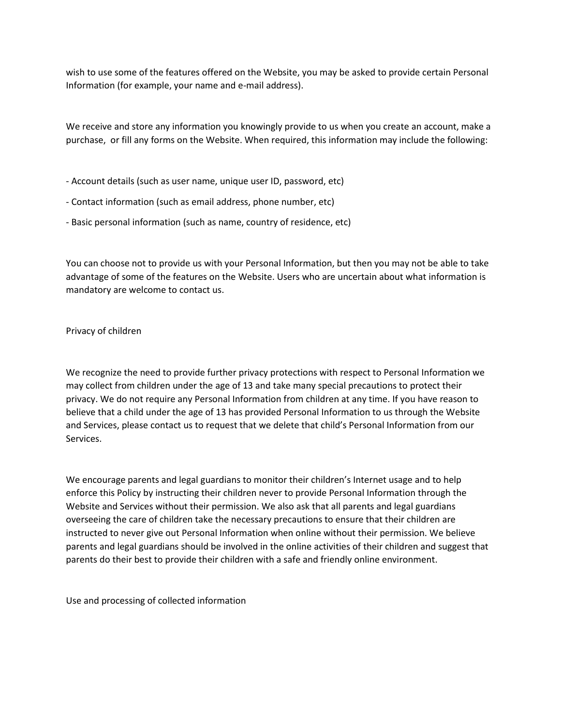wish to use some of the features offered on the Website, you may be asked to provide certain Personal Information (for example, your name and e-mail address).

We receive and store any information you knowingly provide to us when you create an account, make a purchase, or fill any forms on the Website. When required, this information may include the following:

- Account details (such as user name, unique user ID, password, etc)
- Contact information (such as email address, phone number, etc)
- Basic personal information (such as name, country of residence, etc)

You can choose not to provide us with your Personal Information, but then you may not be able to take advantage of some of the features on the Website. Users who are uncertain about what information is mandatory are welcome to contact us.

#### Privacy of children

We recognize the need to provide further privacy protections with respect to Personal Information we may collect from children under the age of 13 and take many special precautions to protect their privacy. We do not require any Personal Information from children at any time. If you have reason to believe that a child under the age of 13 has provided Personal Information to us through the Website and Services, please contact us to request that we delete that child's Personal Information from our Services.

We encourage parents and legal guardians to monitor their children's Internet usage and to help enforce this Policy by instructing their children never to provide Personal Information through the Website and Services without their permission. We also ask that all parents and legal guardians overseeing the care of children take the necessary precautions to ensure that their children are instructed to never give out Personal Information when online without their permission. We believe parents and legal guardians should be involved in the online activities of their children and suggest that parents do their best to provide their children with a safe and friendly online environment.

Use and processing of collected information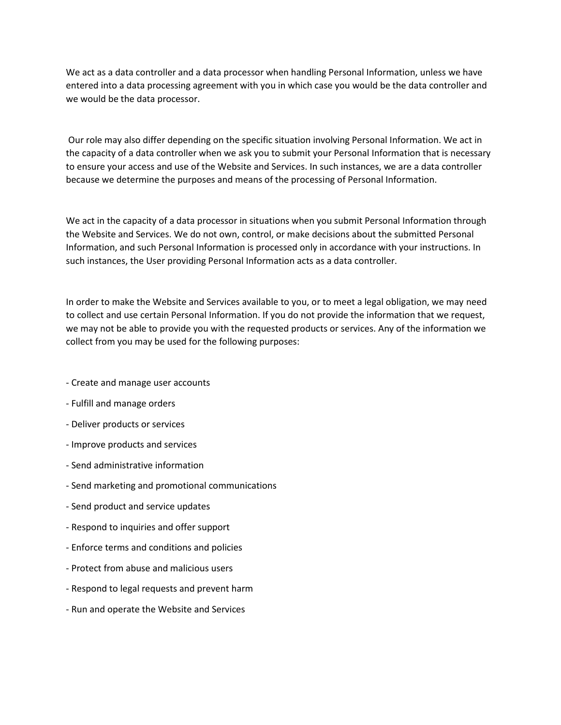We act as a data controller and a data processor when handling Personal Information, unless we have entered into a data processing agreement with you in which case you would be the data controller and we would be the data processor.

Our role may also differ depending on the specific situation involving Personal Information. We act in the capacity of a data controller when we ask you to submit your Personal Information that is necessary to ensure your access and use of the Website and Services. In such instances, we are a data controller because we determine the purposes and means of the processing of Personal Information.

We act in the capacity of a data processor in situations when you submit Personal Information through the Website and Services. We do not own, control, or make decisions about the submitted Personal Information, and such Personal Information is processed only in accordance with your instructions. In such instances, the User providing Personal Information acts as a data controller.

In order to make the Website and Services available to you, or to meet a legal obligation, we may need to collect and use certain Personal Information. If you do not provide the information that we request, we may not be able to provide you with the requested products or services. Any of the information we collect from you may be used for the following purposes:

- Create and manage user accounts
- Fulfill and manage orders
- Deliver products or services
- Improve products and services
- Send administrative information
- Send marketing and promotional communications
- Send product and service updates
- Respond to inquiries and offer support
- Enforce terms and conditions and policies
- Protect from abuse and malicious users
- Respond to legal requests and prevent harm
- Run and operate the Website and Services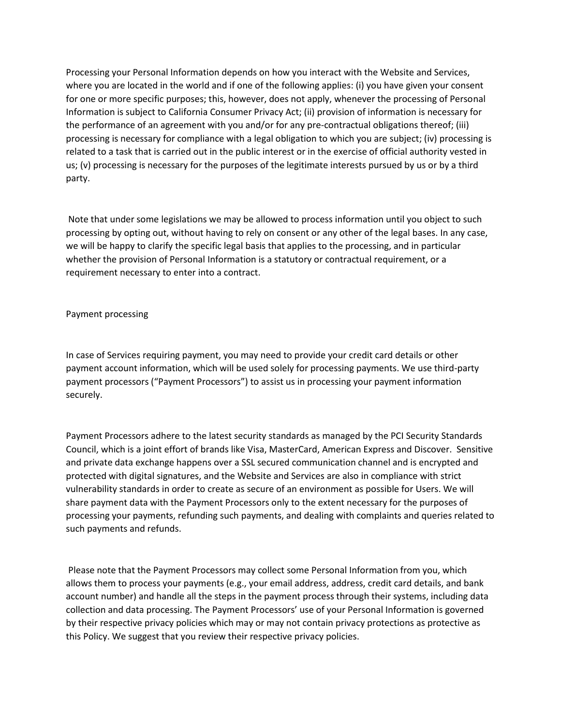Processing your Personal Information depends on how you interact with the Website and Services, where you are located in the world and if one of the following applies: (i) you have given your consent for one or more specific purposes; this, however, does not apply, whenever the processing of Personal Information is subject to California Consumer Privacy Act; (ii) provision of information is necessary for the performance of an agreement with you and/or for any pre-contractual obligations thereof; (iii) processing is necessary for compliance with a legal obligation to which you are subject; (iv) processing is related to a task that is carried out in the public interest or in the exercise of official authority vested in us; (v) processing is necessary for the purposes of the legitimate interests pursued by us or by a third party.

Note that under some legislations we may be allowed to process information until you object to such processing by opting out, without having to rely on consent or any other of the legal bases. In any case, we will be happy to clarify the specific legal basis that applies to the processing, and in particular whether the provision of Personal Information is a statutory or contractual requirement, or a requirement necessary to enter into a contract.

# Payment processing

In case of Services requiring payment, you may need to provide your credit card details or other payment account information, which will be used solely for processing payments. We use third-party payment processors ("Payment Processors") to assist us in processing your payment information securely.

Payment Processors adhere to the latest security standards as managed by the PCI Security Standards Council, which is a joint effort of brands like Visa, MasterCard, American Express and Discover. Sensitive and private data exchange happens over a SSL secured communication channel and is encrypted and protected with digital signatures, and the Website and Services are also in compliance with strict vulnerability standards in order to create as secure of an environment as possible for Users. We will share payment data with the Payment Processors only to the extent necessary for the purposes of processing your payments, refunding such payments, and dealing with complaints and queries related to such payments and refunds.

Please note that the Payment Processors may collect some Personal Information from you, which allows them to process your payments (e.g., your email address, address, credit card details, and bank account number) and handle all the steps in the payment process through their systems, including data collection and data processing. The Payment Processors' use of your Personal Information is governed by their respective privacy policies which may or may not contain privacy protections as protective as this Policy. We suggest that you review their respective privacy policies.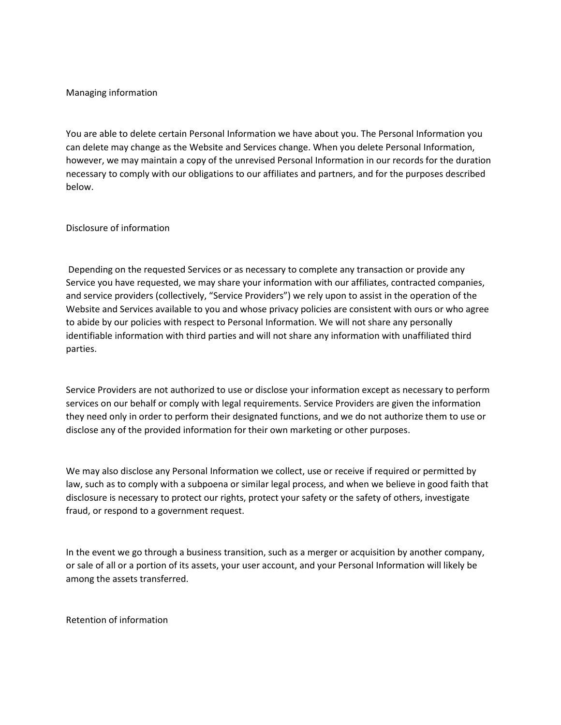## Managing information

You are able to delete certain Personal Information we have about you. The Personal Information you can delete may change as the Website and Services change. When you delete Personal Information, however, we may maintain a copy of the unrevised Personal Information in our records for the duration necessary to comply with our obligations to our affiliates and partners, and for the purposes described below.

## Disclosure of information

Depending on the requested Services or as necessary to complete any transaction or provide any Service you have requested, we may share your information with our affiliates, contracted companies, and service providers (collectively, "Service Providers") we rely upon to assist in the operation of the Website and Services available to you and whose privacy policies are consistent with ours or who agree to abide by our policies with respect to Personal Information. We will not share any personally identifiable information with third parties and will not share any information with unaffiliated third parties.

Service Providers are not authorized to use or disclose your information except as necessary to perform services on our behalf or comply with legal requirements. Service Providers are given the information they need only in order to perform their designated functions, and we do not authorize them to use or disclose any of the provided information for their own marketing or other purposes.

We may also disclose any Personal Information we collect, use or receive if required or permitted by law, such as to comply with a subpoena or similar legal process, and when we believe in good faith that disclosure is necessary to protect our rights, protect your safety or the safety of others, investigate fraud, or respond to a government request.

In the event we go through a business transition, such as a merger or acquisition by another company, or sale of all or a portion of its assets, your user account, and your Personal Information will likely be among the assets transferred.

Retention of information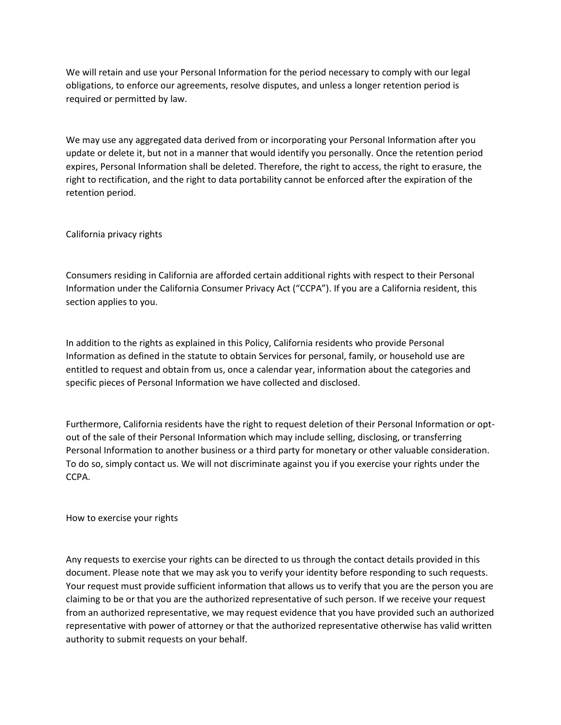We will retain and use your Personal Information for the period necessary to comply with our legal obligations, to enforce our agreements, resolve disputes, and unless a longer retention period is required or permitted by law.

We may use any aggregated data derived from or incorporating your Personal Information after you update or delete it, but not in a manner that would identify you personally. Once the retention period expires, Personal Information shall be deleted. Therefore, the right to access, the right to erasure, the right to rectification, and the right to data portability cannot be enforced after the expiration of the retention period.

California privacy rights

Consumers residing in California are afforded certain additional rights with respect to their Personal Information under the California Consumer Privacy Act ("CCPA"). If you are a California resident, this section applies to you.

In addition to the rights as explained in this Policy, California residents who provide Personal Information as defined in the statute to obtain Services for personal, family, or household use are entitled to request and obtain from us, once a calendar year, information about the categories and specific pieces of Personal Information we have collected and disclosed.

Furthermore, California residents have the right to request deletion of their Personal Information or optout of the sale of their Personal Information which may include selling, disclosing, or transferring Personal Information to another business or a third party for monetary or other valuable consideration. To do so, simply contact us. We will not discriminate against you if you exercise your rights under the CCPA.

How to exercise your rights

Any requests to exercise your rights can be directed to us through the contact details provided in this document. Please note that we may ask you to verify your identity before responding to such requests. Your request must provide sufficient information that allows us to verify that you are the person you are claiming to be or that you are the authorized representative of such person. If we receive your request from an authorized representative, we may request evidence that you have provided such an authorized representative with power of attorney or that the authorized representative otherwise has valid written authority to submit requests on your behalf.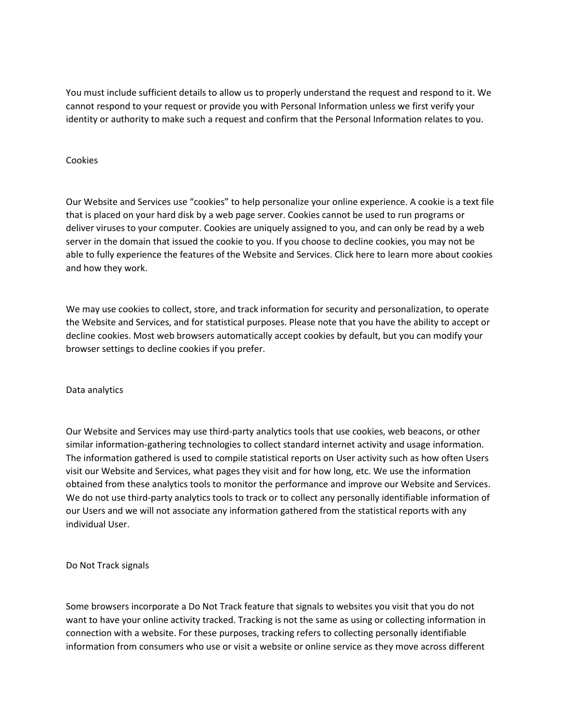You must include sufficient details to allow us to properly understand the request and respond to it. We cannot respond to your request or provide you with Personal Information unless we first verify your identity or authority to make such a request and confirm that the Personal Information relates to you.

## Cookies

Our Website and Services use "cookies" to help personalize your online experience. A cookie is a text file that is placed on your hard disk by a web page server. Cookies cannot be used to run programs or deliver viruses to your computer. Cookies are uniquely assigned to you, and can only be read by a web server in the domain that issued the cookie to you. If you choose to decline cookies, you may not be able to fully experience the features of the Website and Services. Click here to learn more about cookies and how they work.

We may use cookies to collect, store, and track information for security and personalization, to operate the Website and Services, and for statistical purposes. Please note that you have the ability to accept or decline cookies. Most web browsers automatically accept cookies by default, but you can modify your browser settings to decline cookies if you prefer.

#### Data analytics

Our Website and Services may use third-party analytics tools that use cookies, web beacons, or other similar information-gathering technologies to collect standard internet activity and usage information. The information gathered is used to compile statistical reports on User activity such as how often Users visit our Website and Services, what pages they visit and for how long, etc. We use the information obtained from these analytics tools to monitor the performance and improve our Website and Services. We do not use third-party analytics tools to track or to collect any personally identifiable information of our Users and we will not associate any information gathered from the statistical reports with any individual User.

Do Not Track signals

Some browsers incorporate a Do Not Track feature that signals to websites you visit that you do not want to have your online activity tracked. Tracking is not the same as using or collecting information in connection with a website. For these purposes, tracking refers to collecting personally identifiable information from consumers who use or visit a website or online service as they move across different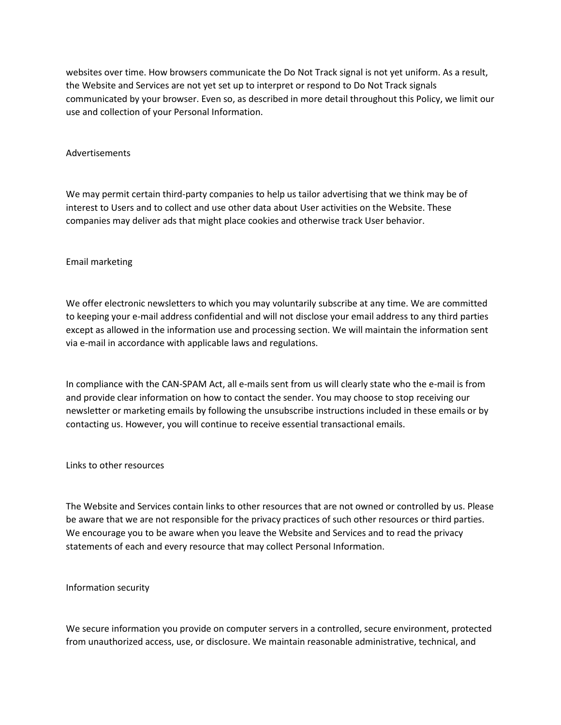websites over time. How browsers communicate the Do Not Track signal is not yet uniform. As a result, the Website and Services are not yet set up to interpret or respond to Do Not Track signals communicated by your browser. Even so, as described in more detail throughout this Policy, we limit our use and collection of your Personal Information.

#### Advertisements

We may permit certain third-party companies to help us tailor advertising that we think may be of interest to Users and to collect and use other data about User activities on the Website. These companies may deliver ads that might place cookies and otherwise track User behavior.

## Email marketing

We offer electronic newsletters to which you may voluntarily subscribe at any time. We are committed to keeping your e-mail address confidential and will not disclose your email address to any third parties except as allowed in the information use and processing section. We will maintain the information sent via e-mail in accordance with applicable laws and regulations.

In compliance with the CAN-SPAM Act, all e-mails sent from us will clearly state who the e-mail is from and provide clear information on how to contact the sender. You may choose to stop receiving our newsletter or marketing emails by following the unsubscribe instructions included in these emails or by contacting us. However, you will continue to receive essential transactional emails.

Links to other resources

The Website and Services contain links to other resources that are not owned or controlled by us. Please be aware that we are not responsible for the privacy practices of such other resources or third parties. We encourage you to be aware when you leave the Website and Services and to read the privacy statements of each and every resource that may collect Personal Information.

#### Information security

We secure information you provide on computer servers in a controlled, secure environment, protected from unauthorized access, use, or disclosure. We maintain reasonable administrative, technical, and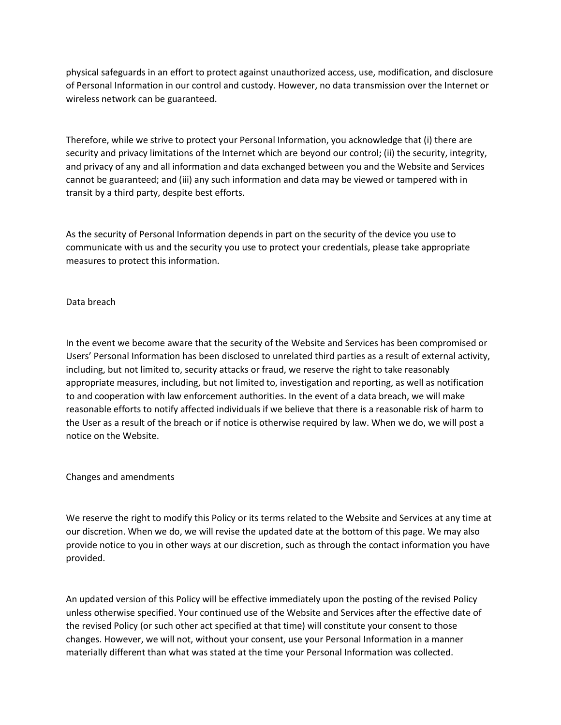physical safeguards in an effort to protect against unauthorized access, use, modification, and disclosure of Personal Information in our control and custody. However, no data transmission over the Internet or wireless network can be guaranteed.

Therefore, while we strive to protect your Personal Information, you acknowledge that (i) there are security and privacy limitations of the Internet which are beyond our control; (ii) the security, integrity, and privacy of any and all information and data exchanged between you and the Website and Services cannot be guaranteed; and (iii) any such information and data may be viewed or tampered with in transit by a third party, despite best efforts.

As the security of Personal Information depends in part on the security of the device you use to communicate with us and the security you use to protect your credentials, please take appropriate measures to protect this information.

# Data breach

In the event we become aware that the security of the Website and Services has been compromised or Users' Personal Information has been disclosed to unrelated third parties as a result of external activity, including, but not limited to, security attacks or fraud, we reserve the right to take reasonably appropriate measures, including, but not limited to, investigation and reporting, as well as notification to and cooperation with law enforcement authorities. In the event of a data breach, we will make reasonable efforts to notify affected individuals if we believe that there is a reasonable risk of harm to the User as a result of the breach or if notice is otherwise required by law. When we do, we will post a notice on the Website.

Changes and amendments

We reserve the right to modify this Policy or its terms related to the Website and Services at any time at our discretion. When we do, we will revise the updated date at the bottom of this page. We may also provide notice to you in other ways at our discretion, such as through the contact information you have provided.

An updated version of this Policy will be effective immediately upon the posting of the revised Policy unless otherwise specified. Your continued use of the Website and Services after the effective date of the revised Policy (or such other act specified at that time) will constitute your consent to those changes. However, we will not, without your consent, use your Personal Information in a manner materially different than what was stated at the time your Personal Information was collected.